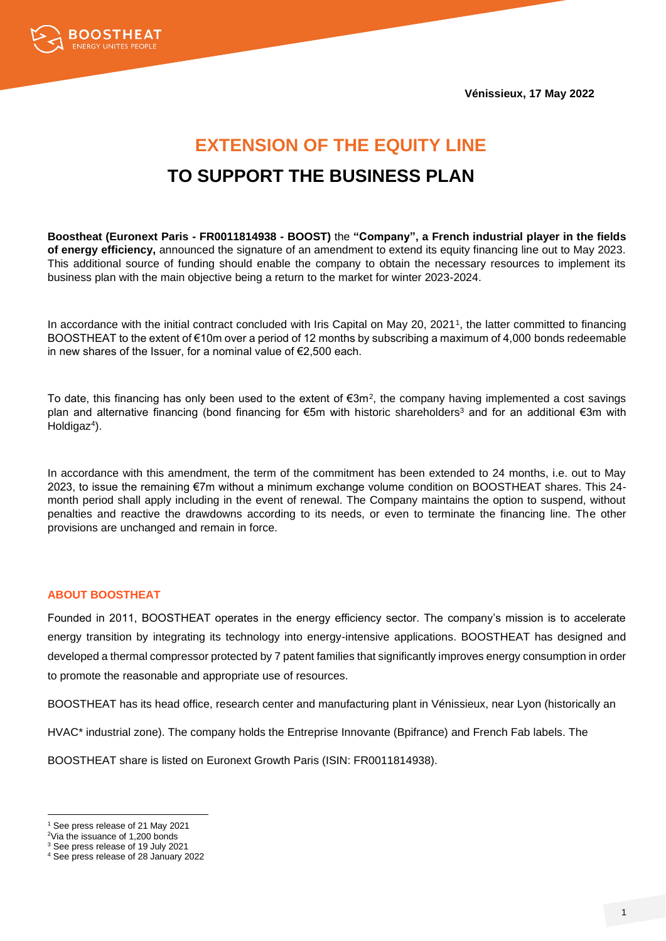**Vénissieux, 17 May 2022**



# **EXTENSION OF THE EQUITY LINE TO SUPPORT THE BUSINESS PLAN**

**Boostheat (Euronext Paris - FR0011814938 - BOOST)** the **"Company", a French industrial player in the fields of energy efficiency,** announced the signature of an amendment to extend its equity financing line out to May 2023. This additional source of funding should enable the company to obtain the necessary resources to implement its business plan with the main objective being a return to the market for winter 2023-2024.

In accordance with the initial contract concluded with Iris Capital on May 20, 2021<sup>1</sup> , the latter committed to financing BOOSTHEAT to the extent of €10m over a period of 12 months by subscribing a maximum of 4,000 bonds redeemable in new shares of the Issuer, for a nominal value of €2,500 each.

To date, this financing has only been used to the extent of €3m<sup>2</sup>, the company having implemented a cost savings plan and alternative financing (bond financing for €5m with historic shareholders<sup>3</sup> and for an additional €3m with Holdigaz<sup>4</sup>).

In accordance with this amendment, the term of the commitment has been extended to 24 months, i.e. out to May 2023, to issue the remaining €7m without a minimum exchange volume condition on BOOSTHEAT shares. This 24 month period shall apply including in the event of renewal. The Company maintains the option to suspend, without penalties and reactive the drawdowns according to its needs, or even to terminate the financing line. The other provisions are unchanged and remain in force.

## **ABOUT BOOSTHEAT**

Founded in 2011, BOOSTHEAT operates in the energy efficiency sector. The company's mission is to accelerate energy transition by integrating its technology into energy-intensive applications. BOOSTHEAT has designed and developed a thermal compressor protected by 7 patent families that significantly improves energy consumption in order to promote the reasonable and appropriate use of resources.

BOOSTHEAT has its head office, research center and manufacturing plant in Vénissieux, near Lyon (historically an

HVAC\* industrial zone). The company holds the Entreprise Innovante (Bpifrance) and French Fab labels. The

BOOSTHEAT share is listed on Euronext Growth Paris (ISIN: FR0011814938).

<sup>1</sup> See press release of 21 May 2021

<sup>2</sup>Via the issuance of 1,200 bonds

<sup>3</sup> See press release of 19 July 2021

<sup>4</sup> See press release of 28 January 2022